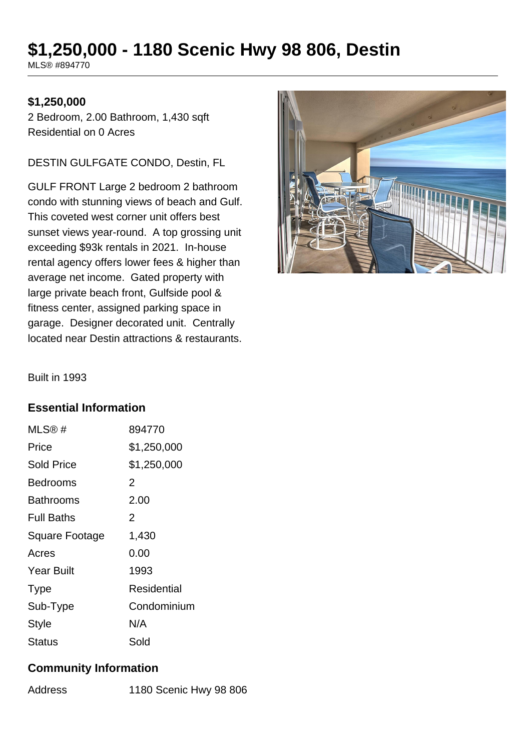# **\$1,250,000 - 1180 Scenic Hwy 98 806, Destin**

MLS® #894770

#### **\$1,250,000**

2 Bedroom, 2.00 Bathroom, 1,430 sqft Residential on 0 Acres

DESTIN GULFGATE CONDO, Destin, FL

GULF FRONT Large 2 bedroom 2 bathroom condo with stunning views of beach and Gulf. This coveted west corner unit offers best sunset views year-round. A top grossing unit exceeding \$93k rentals in 2021. In-house rental agency offers lower fees & higher than average net income. Gated property with large private beach front, Gulfside pool & fitness center, assigned parking space in garage. Designer decorated unit. Centrally located near Destin attractions & restaurants.



Built in 1993

#### **Essential Information**

| MLS@#             | 894770      |
|-------------------|-------------|
| Price             | \$1,250,000 |
| Sold Price        | \$1,250,000 |
| <b>Bedrooms</b>   | 2           |
| <b>Bathrooms</b>  | 2.00        |
| <b>Full Baths</b> | 2           |
| Square Footage    | 1,430       |
| Acres             | 0.00        |
| <b>Year Built</b> | 1993        |
| <b>Type</b>       | Residential |
| Sub-Type          | Condominium |
| <b>Style</b>      | N/A         |
| <b>Status</b>     | Sold        |

## **Community Information**

| 1180 Scenic Hwy 98 806<br>Address |
|-----------------------------------|
|-----------------------------------|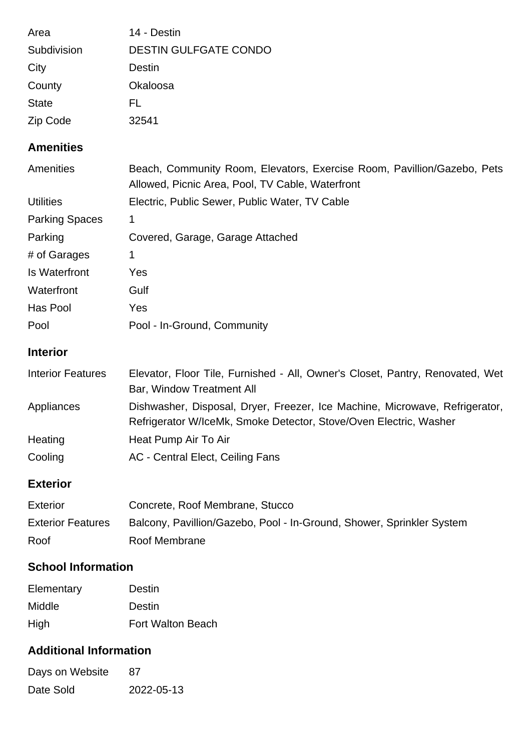| Area         | 14 - Destin                  |
|--------------|------------------------------|
| Subdivision  | <b>DESTIN GULFGATE CONDO</b> |
| City         | Destin                       |
| County       | Okaloosa                     |
| <b>State</b> | EL.                          |
| Zip Code     | 32541                        |

## **Amenities**

| Amenities                | Beach, Community Room, Elevators, Exercise Room, Pavillion/Gazebo, Pets<br>Allowed, Picnic Area, Pool, TV Cable, Waterfront                      |
|--------------------------|--------------------------------------------------------------------------------------------------------------------------------------------------|
| <b>Utilities</b>         | Electric, Public Sewer, Public Water, TV Cable                                                                                                   |
| <b>Parking Spaces</b>    | 1                                                                                                                                                |
| Parking                  | Covered, Garage, Garage Attached                                                                                                                 |
| # of Garages             | 1                                                                                                                                                |
| Is Waterfront            | Yes                                                                                                                                              |
| Waterfront               | Gulf                                                                                                                                             |
| Has Pool                 | Yes                                                                                                                                              |
| Pool                     | Pool - In-Ground, Community                                                                                                                      |
| <b>Interior</b>          |                                                                                                                                                  |
| <b>Interior Features</b> | Elevator, Floor Tile, Furnished - All, Owner's Closet, Pantry, Renovated, Wet<br>Bar, Window Treatment All                                       |
| Appliances               | Dishwasher, Disposal, Dryer, Freezer, Ice Machine, Microwave, Refrigerator,<br>Refrigerator W/IceMk, Smoke Detector, Stove/Oven Electric, Washer |
| Heating                  | Heat Pump Air To Air                                                                                                                             |
| Cooling                  | AC - Central Elect, Ceiling Fans                                                                                                                 |
| — <i>.</i>               |                                                                                                                                                  |

## **Exterior**

| <b>Exterior</b>          | Concrete, Roof Membrane, Stucco                                       |
|--------------------------|-----------------------------------------------------------------------|
| <b>Exterior Features</b> | Balcony, Pavillion/Gazebo, Pool - In-Ground, Shower, Sprinkler System |
| Roof                     | Roof Membrane                                                         |

# **School Information**

| Elementary    | Destin                   |
|---------------|--------------------------|
| <b>Middle</b> | Destin                   |
| High          | <b>Fort Walton Beach</b> |

## **Additional Information**

| Days on Website | -87        |
|-----------------|------------|
| Date Sold       | 2022-05-13 |